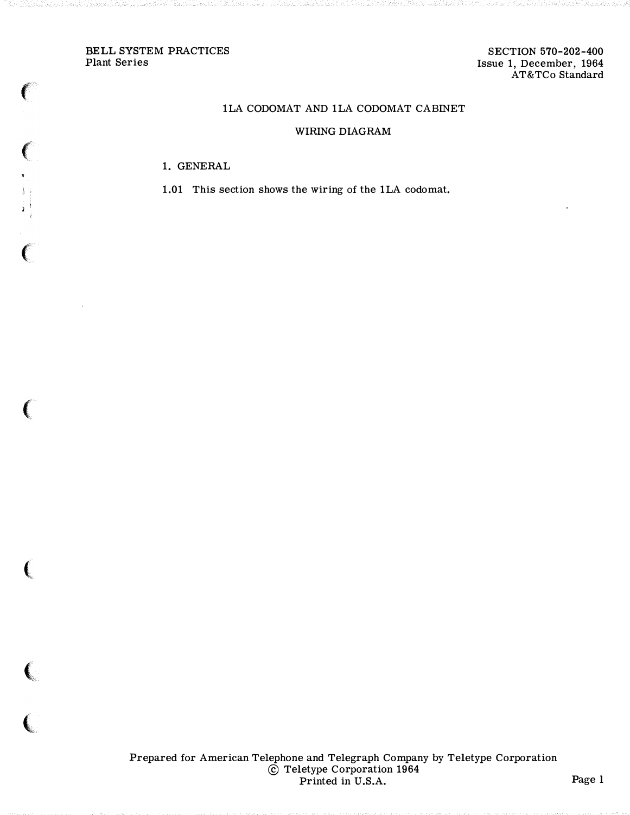## BELL SYSTEM PRACTICES Plant Series

 $\epsilon$ 

 $\big($ 

 $i$  ,  $\mathfrak{f}$ 

 $\big($ 

 $\left($ 

 $\big($ 

 $\big($ 

 $\left(\begin{smallmatrix} 1 & 1\\ 1 & 1 \end{smallmatrix}\right)$ 

SECTION 570-202-400 Issue 1, December, 1964 AT&TCo Standard

## 1LA CODOMAT AND 1LA CODOMAT CABINET

## WIRING DIAGRAM

1. GENERAL

1.01 This section shows the wiring of the 1LA codomat.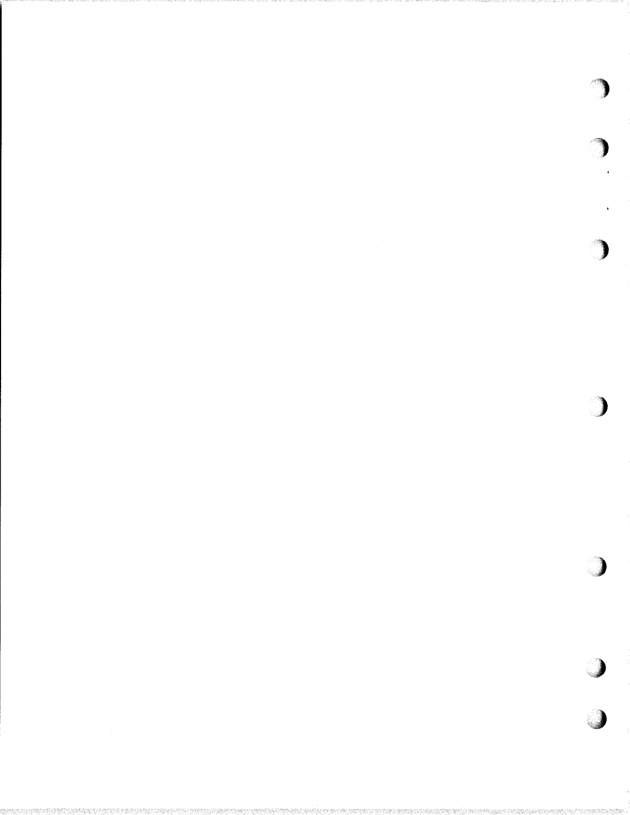